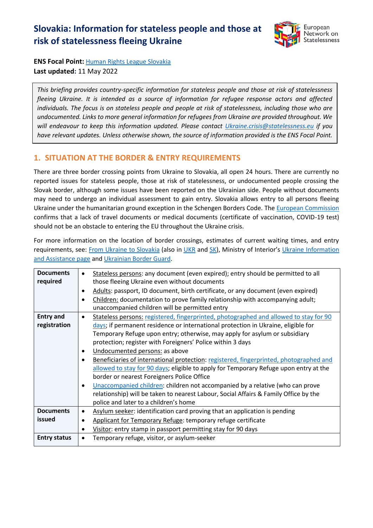# **Slovakia: Information for stateless people and those at risk of statelessness fleeing Ukraine**



**ENS Focal Point:** [Human Rights League Slovakia](https://www.hrl.sk/en) **Last updated:** 11 May 2022

*This briefing provides country-specific information for stateless people and those at risk of statelessness fleeing Ukraine. It is intended as a source of information for refugee response actors and affected individuals. The focus is on stateless people and people at risk of statelessness, including those who are undocumented. Links to more general information for refugees from Ukraine are provided throughout. We will endeavour to keep this information updated. Please contact [Ukraine.crisis@statelessness.eu](mailto:Ukraine.crisis@statelessness.eu) if you have relevant updates. Unless otherwise shown, the source of information provided is the ENS Focal Point.*

## **1. SITUATION AT THE BORDER & ENTRY REQUIREMENTS**

There are three border crossing points from Ukraine to Slovakia, all open 24 hours. There are currently no reported issues for stateless people, those at risk of statelessness, or undocumented people crossing the Slovak border, although some issues have been reported on the Ukrainian side. People without documents may need to undergo an individual assessment to gain entry. Slovakia allows entry to all persons fleeing Ukraine under the humanitarian ground exception in the Schengen Borders Code. The [European Commission](https://ec.europa.eu/info/sites/default/files/information_for_people_fleeing_russias_invasion_of_ukraine_en.pdf) confirms that a lack of travel documents or medical documents (certificate of vaccination, COVID-19 test) should not be an obstacle to entering the EU throughout the Ukraine crisis.

For more information on the location of border crossings, estimates of current waiting times, and entry requirements, see: [From Ukraine to Slovakia](https://www.ukraineslovakia.sk/en/homepage-english/) (also in [UKR](https://www.ukraineslovakia.sk/) and [SK\)](https://www.ukraineslovakia.sk/sk/homepage/), Ministry of Interior's Ukraine Information [and Assistance page](https://www.minv.sk/?ukraine-information-assistance) and [Ukrainian Border Guard.](https://dpsu.gov.ua/en/map/)

| <b>Documents</b>    | Stateless persons: any document (even expired); entry should be permitted to all                   |
|---------------------|----------------------------------------------------------------------------------------------------|
| required            | those fleeing Ukraine even without documents                                                       |
|                     | Adults: passport, ID document, birth certificate, or any document (even expired)                   |
|                     | Children: documentation to prove family relationship with accompanying adult;<br>$\bullet$         |
|                     | unaccompanied children will be permitted entry                                                     |
| <b>Entry and</b>    | Stateless persons: registered, fingerprinted, photographed and allowed to stay for 90<br>$\bullet$ |
| registration        | days; if permanent residence or international protection in Ukraine, eligible for                  |
|                     | Temporary Refuge upon entry; otherwise, may apply for asylum or subsidiary                         |
|                     | protection; register with Foreigners' Police within 3 days                                         |
|                     | Undocumented persons: as above<br>$\bullet$                                                        |
|                     | Beneficiaries of international protection: registered, fingerprinted, photographed and             |
|                     | allowed to stay for 90 days; eligible to apply for Temporary Refuge upon entry at the              |
|                     | border or nearest Foreigners Police Office                                                         |
|                     | Unaccompanied children: children not accompanied by a relative (who can prove<br>$\bullet$         |
|                     | relationship) will be taken to nearest Labour, Social Affairs & Family Office by the               |
|                     | police and later to a children's home                                                              |
| <b>Documents</b>    | Asylum seeker: identification card proving that an application is pending<br>$\bullet$             |
| issued              | Applicant for Temporary Refuge: temporary refuge certificate                                       |
|                     | Visitor: entry stamp in passport permitting stay for 90 days<br>$\bullet$                          |
| <b>Entry status</b> | Temporary refuge, visitor, or asylum-seeker                                                        |
|                     |                                                                                                    |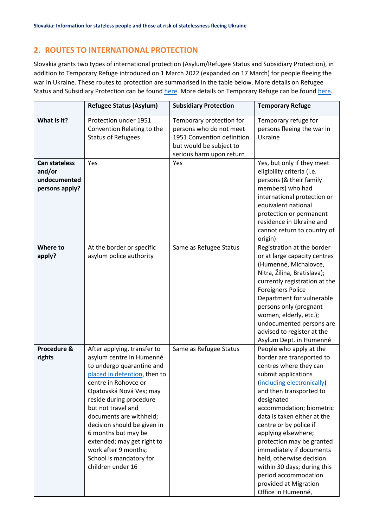# **2. ROUTES TO INTERNATIONAL PROTECTION**

Slovakia grants two types of international protection (Asylum/Refugee Status and Subsidiary Protection), in addition to Temporary Refuge introduced on 1 March 2022 (expanded on 17 March) for people fleeing the war in Ukraine. These routes to protection are summarised in the table below. More details on Refugee Status and Subsidiary Protection can be found [here.](https://www.ukraineslovakia.sk/wp-content/uploads/2022/03/AJ-FAQ.pdf) More details on Temporary Refuge can be foun[d here.](https://portal.minv.sk/wps/wcm/connect/sk/site/main/zivotne-situacie/Cudzinci/Informacie-v-anglickom-jazyku/)

|                                                                  | <b>Refugee Status (Asylum)</b>                                                                                                                                                                                                                                                                                                                                                                                  | <b>Subsidiary Protection</b>                                                                                                             | <b>Temporary Refuge</b>                                                                                                                                                                                                                                                                                                                                                                                                                                                             |
|------------------------------------------------------------------|-----------------------------------------------------------------------------------------------------------------------------------------------------------------------------------------------------------------------------------------------------------------------------------------------------------------------------------------------------------------------------------------------------------------|------------------------------------------------------------------------------------------------------------------------------------------|-------------------------------------------------------------------------------------------------------------------------------------------------------------------------------------------------------------------------------------------------------------------------------------------------------------------------------------------------------------------------------------------------------------------------------------------------------------------------------------|
| What is it?                                                      | Protection under 1951<br>Convention Relating to the<br><b>Status of Refugees</b>                                                                                                                                                                                                                                                                                                                                | Temporary protection for<br>persons who do not meet<br>1951 Convention definition<br>but would be subject to<br>serious harm upon return | Temporary refuge for<br>persons fleeing the war in<br>Ukraine                                                                                                                                                                                                                                                                                                                                                                                                                       |
| <b>Can stateless</b><br>and/or<br>undocumented<br>persons apply? | Yes                                                                                                                                                                                                                                                                                                                                                                                                             | Yes                                                                                                                                      | Yes, but only if they meet<br>eligibility criteria (i.e.<br>persons (& their family<br>members) who had<br>international protection or<br>equivalent national<br>protection or permanent<br>residence in Ukraine and<br>cannot return to country of<br>origin)                                                                                                                                                                                                                      |
| Where to<br>apply?                                               | At the border or specific<br>asylum police authority                                                                                                                                                                                                                                                                                                                                                            | Same as Refugee Status                                                                                                                   | Registration at the border<br>or at large capacity centres<br>(Humenné, Michalovce,<br>Nitra, Žilina, Bratislava);<br>currently registration at the<br><b>Foreigners Police</b><br>Department for vulnerable<br>persons only (pregnant<br>women, elderly, etc.);<br>undocumented persons are<br>advised to register at the<br>Asylum Dept. in Humenné                                                                                                                               |
| Procedure &<br>rights                                            | After applying, transfer to<br>asylum centre in Humenné<br>to undergo quarantine and<br>placed in detention, then to<br>centre in Rohovce or<br>Opatovská Nová Ves; may<br>reside during procedure<br>but not travel and<br>documents are withheld;<br>decision should be given in<br>6 months but may be<br>extended; may get right to<br>work after 9 months;<br>School is mandatory for<br>children under 16 | Same as Refugee Status                                                                                                                   | People who apply at the<br>border are transported to<br>centres where they can<br>submit applications<br>(including electronically)<br>and then transported to<br>designated<br>accommodation; biometric<br>data is taken either at the<br>centre or by police if<br>applying elsewhere;<br>protection may be granted<br>immediately if documents<br>held, otherwise decision<br>within 30 days; during this<br>period accommodation<br>provided at Migration<br>Office in Humenné, |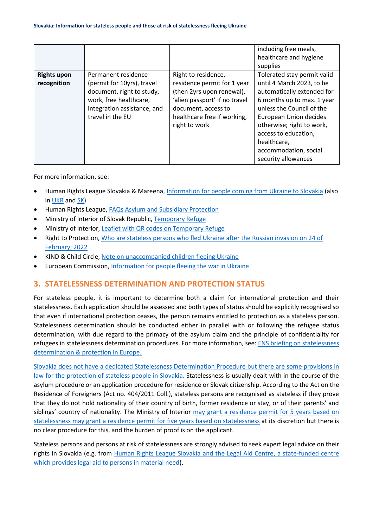|                                   |                                                                                                                                                             |                                                                                                                                                                                         | including free meals,<br>healthcare and hygiene<br>supplies                                                                                                                                                                                                                                     |
|-----------------------------------|-------------------------------------------------------------------------------------------------------------------------------------------------------------|-----------------------------------------------------------------------------------------------------------------------------------------------------------------------------------------|-------------------------------------------------------------------------------------------------------------------------------------------------------------------------------------------------------------------------------------------------------------------------------------------------|
| <b>Rights upon</b><br>recognition | Permanent residence<br>(permit for 10yrs), travel<br>document, right to study,<br>work, free healthcare,<br>integration assistance, and<br>travel in the EU | Right to residence,<br>residence permit for 1 year<br>(then 2yrs upon renewal),<br>'alien passport' if no travel<br>document, access to<br>healthcare free if working,<br>right to work | Tolerated stay permit valid<br>until 4 March 2023, to be<br>automatically extended for<br>6 months up to max. 1 year<br>unless the Council of the<br>European Union decides<br>otherwise; right to work,<br>access to education,<br>healthcare,<br>accommodation, social<br>security allowances |

For more information, see:

- Human Rights League Slovakia & Mareena, [Information for people coming from Ukraine to Slovakia](https://www.ukraineslovakia.sk/en/homepage-english/) (also in [UKR](https://www.ukraineslovakia.sk/) an[d SK\)](https://www.ukraineslovakia.sk/sk/homepage/)
- Human Rights League, [FAQs Asylum and Subsidiary Protection](https://www.ukraineslovakia.sk/wp-content/uploads/2022/03/AJ-FAQ.pdf)
- Ministry of Interior of Slovak Republic, [Temporary Refuge](https://portal.minv.sk/wps/wcm/connect/sk/site/main/zivotne-situacie/Cudzinci/Informacie-v-anglickom-jazyku/)
- Ministry of Interior, Leaflet [with QR codes on Temporary Refuge](https://www.minv.sk/?tlacove-spravy&sprava=pomoc-ukrajine&subor_spravy=436881)
- Right to Protection, [Who are stateless persons who fled Ukraine after the Russian invasion on 24 of](https://r2p.org.ua/stateless-persons-fled-ukraine-after-2022/?lang=en)  [February, 2022](https://r2p.org.ua/stateless-persons-fled-ukraine-after-2022/?lang=en)
- KIND & Child Circle, [Note on unaccompanied children fleeing Ukraine](https://supportkind.org/wp-content/uploads/2022/03/Note-on-Unaccompanied-Children-Fleeing-from-Ukraine_Updated.pdf)
- European Commission, [Information for people fleeing the war in Ukraine](https://ec.europa.eu/info/strategy/priorities-2019-2024/stronger-europe-world/eu-solidarity-ukraine/eu-assistance-ukraine/information-people-fleeing-war-ukraine_en)

#### **3. STATELESSNESS DETERMINATION AND PROTECTION STATUS**

For stateless people, it is important to determine both a claim for international protection and their statelessness. Each application should be assessed and both types of status should be explicitly recognised so that even if international protection ceases, the person remains entitled to protection as a stateless person. Statelessness determination should be conducted either in parallel with or following the refugee status determination, with due regard to the primacy of the asylum claim and the principle of confidentiality for refugees in statelessness determination procedures. For more information, see: [ENS briefing on statelessness](https://index.statelessness.eu/sites/default/files/ENS-Statelessness_determination_and_protection_in_Europe-Sep_2021.pdf)  [determination & protection in Europe.](https://index.statelessness.eu/sites/default/files/ENS-Statelessness_determination_and_protection_in_Europe-Sep_2021.pdf)

[Slovakia does not have a dedicated Statelessness Determination Procedure but there are some provisions in](https://www.refworld.org/cgi-bin/texis/vtx/rwmain?page=search&docid=5c52c5e97&skip=0&query=statelessness&coi=SVK)  [law for the protection of stateless people in Slovakia.](https://www.refworld.org/cgi-bin/texis/vtx/rwmain?page=search&docid=5c52c5e97&skip=0&query=statelessness&coi=SVK) Statelessness is usually dealt with in the course of the asylum procedure or an application procedure for residence or Slovak citizenship. According to the Act on the Residence of Foreigners (Act no. 404/2011 Coll.), stateless persons are recognised as stateless if they prove that they do not hold nationality of their country of birth, former residence or stay, or of their parents' and siblings' country of nationality. The Ministry of Interior [may grant a residence permit for 5 years based on](https://emnbelgium.be/sites/default/files/publications/emn-inform-statelesseness-in-the-eu.pdf)  [statelessness](https://emnbelgium.be/sites/default/files/publications/emn-inform-statelesseness-in-the-eu.pdf) [may grant a residence permit for](https://emnbelgium.be/sites/default/files/publications/emn-inform-statelesseness-in-the-eu.pdf) five years based on statelessness at its discretion but there is no clear procedure for this, and the burden of proof is on the applicant.

Stateless persons and persons at risk of statelessness are strongly advised to seek expert legal advice on their rights in Slovakia (e.g. from [Human Rights League Slovakia](https://www.hrl.sk/en) and the [Legal Aid Centre,](http://www.centrumpravnejpomoci.sk/) a state-funded centre which provides legal aid to persons in material need).